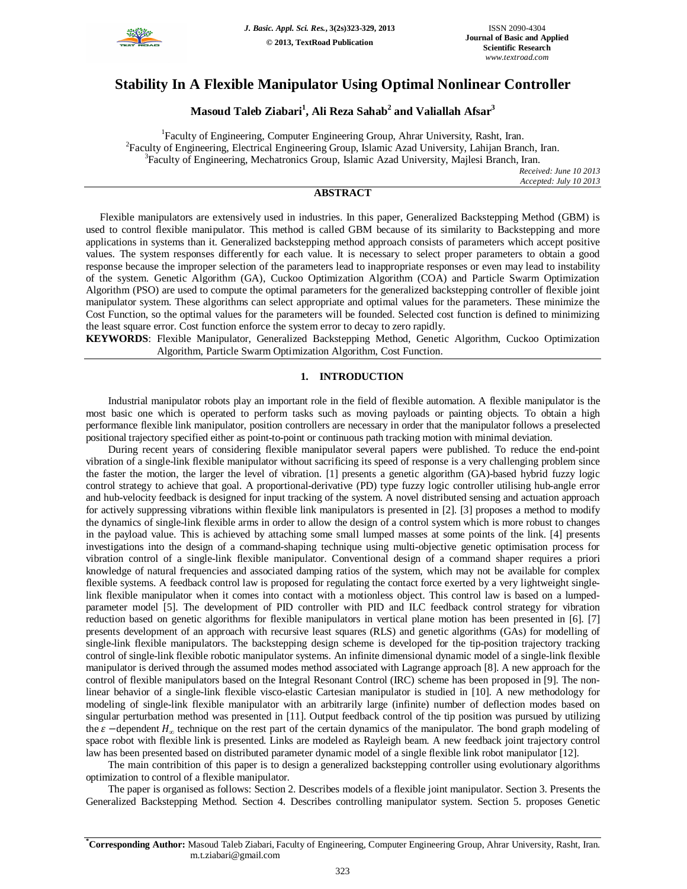

# **Stability In A Flexible Manipulator Using Optimal Nonlinear Controller**

**Masoud Taleb Ziabari<sup>1</sup> , Ali Reza Sahab<sup>2</sup> and Valiallah Afsar<sup>3</sup>**

<sup>1</sup>Faculty of Engineering, Computer Engineering Group, Ahrar University, Rasht, Iran. <sup>2</sup> Faculty of Engineering, Electrical Engineering Group, Islamic Azad University, Lahijan Branch, Iran. <sup>3</sup>Faculty of Engineering, Mechatronics Group, Islamic Azad University, Majlesi Branch, Iran.

*Received: June 10 2013 Accepted: July 10 2013*

# **ABSTRACT**

Flexible manipulators are extensively used in industries. In this paper, Generalized Backstepping Method (GBM) is used to control flexible manipulator. This method is called GBM because of its similarity to Backstepping and more applications in systems than it. Generalized backstepping method approach consists of parameters which accept positive values. The system responses differently for each value. It is necessary to select proper parameters to obtain a good response because the improper selection of the parameters lead to inappropriate responses or even may lead to instability of the system. Genetic Algorithm (GA), Cuckoo Optimization Algorithm (COA) and Particle Swarm Optimization Algorithm (PSO) are used to compute the optimal parameters for the generalized backstepping controller of flexible joint manipulator system. These algorithms can select appropriate and optimal values for the parameters. These minimize the Cost Function, so the optimal values for the parameters will be founded. Selected cost function is defined to minimizing the least square error. Cost function enforce the system error to decay to zero rapidly.

**KEYWORDS**: Flexible Manipulator, Generalized Backstepping Method, Genetic Algorithm, Cuckoo Optimization Algorithm, Particle Swarm Optimization Algorithm, Cost Function.

# **1. INTRODUCTION**

Industrial manipulator robots play an important role in the field of flexible automation. A flexible manipulator is the most basic one which is operated to perform tasks such as moving payloads or painting objects. To obtain a high performance flexible link manipulator, position controllers are necessary in order that the manipulator follows a preselected positional trajectory specified either as point-to-point or continuous path tracking motion with minimal deviation.

During recent years of considering flexible manipulator several papers were published. To reduce the end-point vibration of a single-link flexible manipulator without sacrificing its speed of response is a very challenging problem since the faster the motion, the larger the level of vibration. [1] presents a genetic algorithm (GA)-based hybrid fuzzy logic control strategy to achieve that goal. A proportional-derivative (PD) type fuzzy logic controller utilising hub-angle error and hub-velocity feedback is designed for input tracking of the system. A novel distributed sensing and actuation approach for actively suppressing vibrations within flexible link manipulators is presented in [2]. [3] proposes a method to modify the dynamics of single-link flexible arms in order to allow the design of a control system which is more robust to changes in the payload value. This is achieved by attaching some small lumped masses at some points of the link. [4] presents investigations into the design of a command-shaping technique using multi-objective genetic optimisation process for vibration control of a single-link flexible manipulator. Conventional design of a command shaper requires a priori knowledge of natural frequencies and associated damping ratios of the system, which may not be available for complex flexible systems. A feedback control law is proposed for regulating the contact force exerted by a very lightweight singlelink flexible manipulator when it comes into contact with a motionless object. This control law is based on a lumpedparameter model [5]. The development of PID controller with PID and ILC feedback control strategy for vibration reduction based on genetic algorithms for flexible manipulators in vertical plane motion has been presented in [6]. [7] presents development of an approach with recursive least squares (RLS) and genetic algorithms (GAs) for modelling of single-link flexible manipulators. The backstepping design scheme is developed for the tip-position trajectory tracking control of single-link flexible robotic manipulator systems. An infinite dimensional dynamic model of a single-link flexible manipulator is derived through the assumed modes method associated with Lagrange approach [8]. A new approach for the control of flexible manipulators based on the Integral Resonant Control (IRC) scheme has been proposed in [9]. The nonlinear behavior of a single-link flexible visco-elastic Cartesian manipulator is studied in [10]. A new methodology for modeling of single-link flexible manipulator with an arbitrarily large (infinite) number of deflection modes based on singular perturbation method was presented in [11]. Output feedback control of the tip position was pursued by utilizing the  $\varepsilon$  −dependent  $H_{\infty}$  technique on the rest part of the certain dynamics of the manipulator. The bond graph modeling of space robot with flexible link is presented. Links are modeled as Rayleigh beam. A new feedback joint trajectory control law has been presented based on distributed parameter dynamic model of a single flexible link robot manipulator [12].

The main contribition of this paper is to design a generalized backstepping controller using evolutionary algorithms optimization to control of a flexible manipulator.

The paper is organised as follows: Section 2. Describes models of a flexible joint manipulator. Section 3. Presents the Generalized Backstepping Method. Section 4. Describes controlling manipulator system. Section 5. proposes Genetic

**<sup>\*</sup>Corresponding Author:** Masoud Taleb Ziabari, Faculty of Engineering, Computer Engineering Group, Ahrar University, Rasht, Iran. m.t.ziabari@gmail.com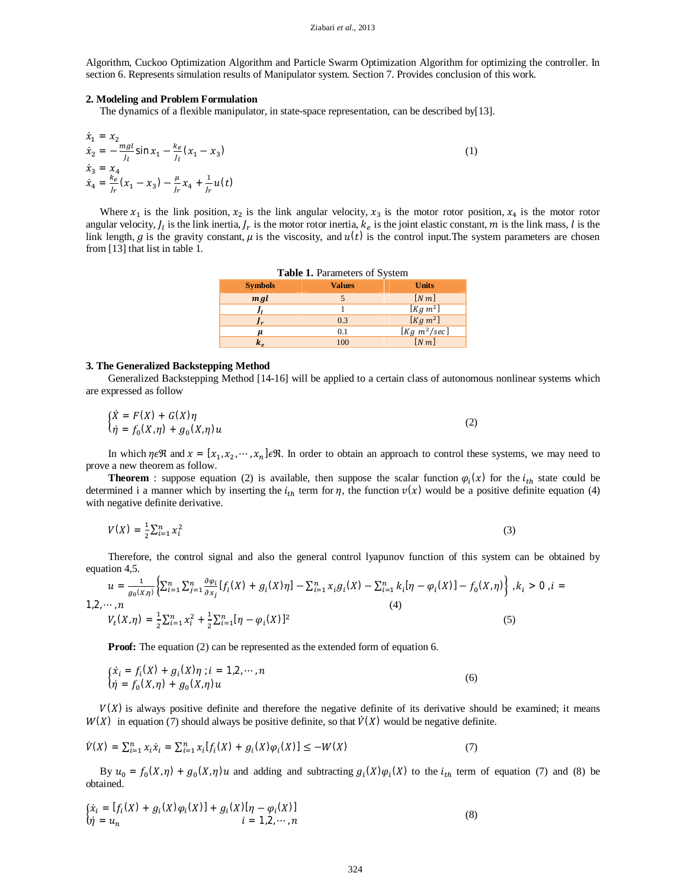Algorithm, Cuckoo Optimization Algorithm and Particle Swarm Optimization Algorithm for optimizing the controller. In section 6. Represents simulation results of Manipulator system. Section 7. Provides conclusion of this work.

# **2. Modeling and Problem Formulation**

The dynamics of a flexible manipulator, in state-space representation, can be described by[13].

$$
\begin{aligned}\n\dot{x}_1 &= x_2\\ \n\dot{x}_2 &= -\frac{mgl}{J_l} \sin x_1 - \frac{k_e}{J_l} (x_1 - x_3)\\ \n\dot{x}_3 &= x_4\\ \n\dot{x}_4 &= \frac{k_e}{J_r} (x_1 - x_3) - \frac{\mu}{J_r} x_4 + \frac{1}{J_r} u(t)\n\end{aligned} \tag{1}
$$

Where  $x_1$  is the link position,  $x_2$  is the link angular velocity,  $x_3$  is the motor rotor position,  $x_4$  is the motor rotor angular velocity,  $J_l$  is the link inertia,  $J_r$  is the motor rotor inertia,  $k_e$  is the joint elastic constant, m is the link mass, l is the link length, g is the gravity constant,  $\mu$  is the viscosity, and  $u(t)$  is the control input. The system parameters are chosen from [13] that list in table 1.

| <b>Table 1.</b> Parameters of System |               |                   |  |  |  |  |  |
|--------------------------------------|---------------|-------------------|--|--|--|--|--|
| <b>Symbols</b>                       | <b>Values</b> | <b>Units</b>      |  |  |  |  |  |
| mgl                                  |               | $[N\,m]$          |  |  |  |  |  |
| Iı                                   |               | $[Kg\ m^2]$       |  |  |  |  |  |
| $J_r$                                | 0.3           | $[Kg\ m^2]$       |  |  |  |  |  |
| μ                                    | 0.1           | $[Kg \; m^2/sec]$ |  |  |  |  |  |
| $k_{e}$                              | 100           | [N <sub>m</sub> ] |  |  |  |  |  |

#### **3. The Generalized Backstepping Method**

Generalized Backstepping Method [14-16] will be applied to a certain class of autonomous nonlinear systems which are expressed as follow

$$
\begin{aligned}\n\{\dot{X} &= F(X) + G(X)\eta \\
\eta &= f_0(X,\eta) + g_0(X,\eta)u\n\end{aligned}\n\tag{2}
$$

In which  $\eta \in \mathbb{R}$  and  $x = [x_1, x_2, \dots, x_n] \in \mathbb{R}$ . In order to obtain an approach to control these systems, we may need to prove a new theorem as follow.

**Theorem** : suppose equation (2) is available, then suppose the scalar function  $\varphi_i(x)$  for the  $i_{th}$  state could be determined i a manner which by inserting the  $i_{th}$  term for  $\eta$ , the function  $\nu(x)$  would be a positive definite equation (4) with negative definite derivative.

$$
V(X) = \frac{1}{2} \sum_{i=1}^{n} x_i^2
$$
 (3)

Therefore, the control signal and also the general control lyapunov function of this system can be obtained by equation 4,5.

,  $i =$ 

$$
u = \frac{1}{g_0(x,\eta)} \Big\{ \sum_{i=1}^n \sum_{j=1}^n \frac{\partial \varphi_i}{\partial x_j} [f_i(X) + g_i(X)\eta] - \sum_{i=1}^n x_i g_i(X) - \sum_{i=1}^n k_i [\eta - \varphi_i(X)] - f_0(X,\eta) \Big\}, k_i > 0
$$
  
1,2,...,n  

$$
V_t(X,\eta) = \frac{1}{2} \sum_{i=1}^n x_i^2 + \frac{1}{2} \sum_{i=1}^n [\eta - \varphi_i(X)]^2
$$
 (5)

**Proof:** The equation (2) can be represented as the extended form of equation 6.

$$
\begin{cases} \dot{x}_i = f_i(X) + g_i(X)\eta \; ; i = 1, 2, \cdots, n \\ \dot{\eta} = f_0(X, \eta) + g_0(X, \eta)u \end{cases} \tag{6}
$$

 $V(X)$  is always positive definite and therefore the negative definite of its derivative should be examined; it means  $W(X)$  in equation (7) should always be positive definite, so that  $\dot{V}(X)$  would be negative definite.

$$
\dot{V}(X) = \sum_{i=1}^{n} x_i \dot{x}_i = \sum_{i=1}^{n} x_i [f_i(X) + g_i(X)\varphi_i(X)] \le -W(X)
$$
\n(7)

By  $u_0 = f_0(X, \eta) + g_0(X, \eta)u$  and adding and subtracting  $g_i(X)\varphi_i(X)$  to the  $i_{th}$  term of equation (7) and (8) be obtained.

$$
\begin{cases} \dot{x}_i = [f_i(X) + g_i(X)\varphi_i(X)] + g_i(X)[\eta - \varphi_i(X)] \\ \dot{\eta} = u_n \qquad \qquad i = 1, 2, \cdots, n \end{cases} \tag{8}
$$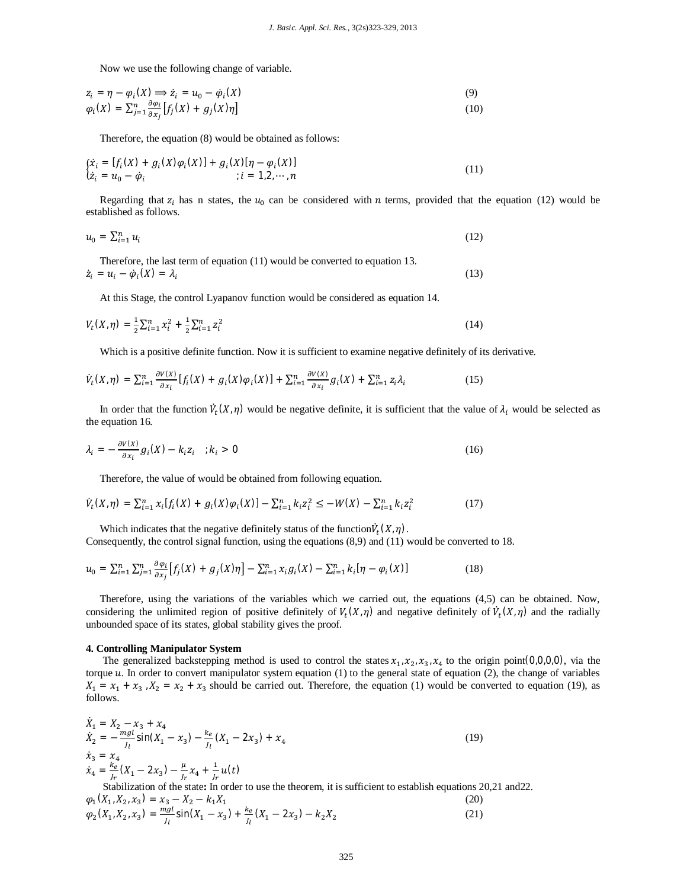Now we use the following change of variable.

$$
z_i = \eta - \varphi_i(X) \Longrightarrow \dot{z}_i = u_0 - \dot{\varphi}_i(X) \tag{9}
$$
  

$$
\varphi_i(X) = \sum_{j=1}^n \frac{\partial \varphi_i}{\partial x_j} [f_j(X) + g_j(X)\eta] \tag{10}
$$

Therefore, the equation (8) would be obtained as follows:

$$
\begin{aligned} \n\{\dot{x}_i = [f_i(X) + g_i(X)\varphi_i(X)] + g_i(X)[\eta - \varphi_i(X)] \\ \n\dot{z}_i = u_0 - \dot{\varphi}_i &; i = 1, 2, \dots, n \n\end{aligned} \tag{11}
$$

Regarding that  $z_i$  has n states, the  $u_0$  can be considered with *n* terms, provided that the equation (12) would be established as follows.

$$
u_0 = \sum_{i=1}^n u_i \tag{12}
$$

Therefore, the last term of equation (11) would be converted to equation 13.  $\dot{z}_i = u_i - \dot{\varphi}_i(X) = \lambda_i$ (13)

At this Stage, the control Lyapanov function would be considered as equation 14.

$$
V_t(X,\eta) = \frac{1}{2} \sum_{i=1}^n x_i^2 + \frac{1}{2} \sum_{i=1}^n z_i^2
$$
 (14)

Which is a positive definite function. Now it is sufficient to examine negative definitely of its derivative.

$$
\dot{V}_t(X,\eta) = \sum_{i=1}^n \frac{\partial V(X)}{\partial x_i} [f_i(X) + g_i(X)\varphi_i(X)] + \sum_{i=1}^n \frac{\partial V(X)}{\partial x_i} g_i(X) + \sum_{i=1}^n z_i \lambda_i
$$
\n(15)

In order that the function  $\dot{V}_t(X,\eta)$  would be negative definite, it is sufficient that the value of  $\lambda_i$  would be selected as the equation 16.

$$
\lambda_i = -\frac{\partial V(x)}{\partial x_i} g_i(X) - k_i z_i \quad ; k_i > 0 \tag{16}
$$

Therefore, the value of would be obtained from following equation.

$$
\dot{V}_t(X,\eta) = \sum_{i=1}^n x_i [f_i(X) + g_i(X)\varphi_i(X)] - \sum_{i=1}^n k_i z_i^2 \le -W(X) - \sum_{i=1}^n k_i z_i^2 \tag{17}
$$

Which indicates that the negative definitely status of the function  $\dot{V}_t(X, \eta)$ .

Consequently, the control signal function, using the equations (8,9) and (11) would be converted to 18.

$$
u_0 = \sum_{i=1}^n \sum_{j=1}^n \frac{\partial \varphi_i}{\partial x_j} \left[ f_j(X) + g_j(X)\eta \right] - \sum_{i=1}^n x_i g_i(X) - \sum_{i=1}^n k_i [\eta - \varphi_i(X)] \tag{18}
$$

Therefore, using the variations of the variables which we carried out, the equations (4,5) can be obtained. Now, considering the unlimited region of positive definitely of  $V_t(X,\eta)$  and negative definitely of  $\dot{V}_t(X,\eta)$  and the radially unbounded space of its states, global stability gives the proof.

## **4. Controlling Manipulator System**

The generalized backstepping method is used to control the states  $x_1, x_2, x_3, x_4$  to the origin point(0,0,0,0), via the torque u. In order to convert manipulator system equation (1) to the general state of equation (2), the change of variables  $X_1 = x_1 + x_3$ ,  $X_2 = x_2 + x_3$  should be carried out. Therefore, the equation (1) would be converted to equation (19), as follows.

$$
\dot{X}_1 = X_2 - x_3 + x_4
$$
\n
$$
\dot{X}_2 = -\frac{mgl}{J_l} \sin(X_1 - x_3) - \frac{k_e}{J_l} (X_1 - 2x_3) + x_4
$$
\n
$$
\dot{x}_3 = x_4
$$
\n
$$
\dot{x}_4 = \frac{k_e}{J_r} (X_1 - 2x_3) - \frac{\mu}{J_r} x_4 + \frac{1}{J_r} u(t)
$$
\n(19)

Stabilization of the state**:** In order to use the theorem, it is sufficient to establish equations 20,21 and22.  $\varphi_1(X_1, X_2, x_3) = x_3 - X_2 - k_1X_1$ (20)  $\varphi_2(X_1, X_2, x_3) = \frac{mgl}{l_1}$  $\frac{lgl}{l_1}$ sin $(X_1 - x_3) + \frac{ke}{l_1}$  $\frac{\kappa_e}{J_l}(X_1 - 2x_3) - k_2X_2$ (21)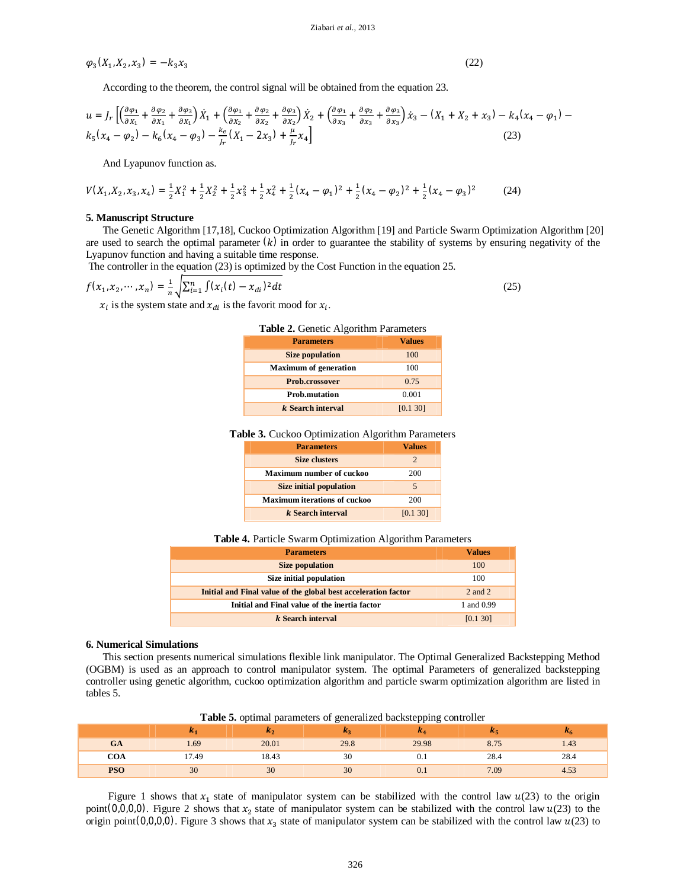Ziabari *et al.,* 2013

$$
\varphi_3(X_1, X_2, x_3) = -k_3 x_3
$$

(22)

According to the theorem, the control signal will be obtained from the equation 23.

$$
u = J_r \left[ \left( \frac{\partial \varphi_1}{\partial x_1} + \frac{\partial \varphi_2}{\partial x_1} + \frac{\partial \varphi_3}{\partial x_1} \right) \dot{X}_1 + \left( \frac{\partial \varphi_1}{\partial x_2} + \frac{\partial \varphi_2}{\partial x_2} + \frac{\partial \varphi_3}{\partial x_2} \right) \dot{X}_2 + \left( \frac{\partial \varphi_1}{\partial x_3} + \frac{\partial \varphi_2}{\partial x_3} + \frac{\partial \varphi_3}{\partial x_3} \right) \dot{X}_3 - (X_1 + X_2 + x_3) - k_4 (x_4 - \varphi_1) - k_5 (x_4 - \varphi_2) - k_6 (x_4 - \varphi_3) - \frac{k_e}{J_r} (X_1 - 2x_3) + \frac{\mu}{J_r} x_4 \right]
$$
\n(23)

And Lyapunov function as.

$$
V(X_1, X_2, x_3, x_4) = \frac{1}{2}X_1^2 + \frac{1}{2}X_2^2 + \frac{1}{2}X_3^2 + \frac{1}{2}X_4^2 + \frac{1}{2}(x_4 - \varphi_1)^2 + \frac{1}{2}(x_4 - \varphi_2)^2 + \frac{1}{2}(x_4 - \varphi_3)^2
$$
(24)

#### **5. Manuscript Structure**

The Genetic Algorithm [17,18], Cuckoo Optimization Algorithm [19] and Particle Swarm Optimization Algorithm [20] are used to search the optimal parameter  $(k)$  in order to guarantee the stability of systems by ensuring negativity of the Lyapunov function and having a suitable time response.

The controller in the equation (23) is optimized by the Cost Function in the equation 25.

$$
f(x_1, x_2, \cdots, x_n) = \frac{1}{n} \sqrt{\sum_{i=1}^n \int (x_i(t) - x_{di})^2 dt}
$$
 (25)

 $x_i$  is the system state and  $x_{di}$  is the favorit mood for  $x_i$ .

| $\frac{1}{2}$ and $\frac{1}{2}$ concrete $\frac{1}{2}$ in $\frac{1}{2}$ contributed by $\frac{1}{2}$ |               |  |  |  |
|------------------------------------------------------------------------------------------------------|---------------|--|--|--|
| <b>Parameters</b>                                                                                    | <b>Values</b> |  |  |  |
| <b>Size population</b>                                                                               | 100           |  |  |  |
| <b>Maximum of generation</b>                                                                         | 100           |  |  |  |
| Prob.crossover                                                                                       | 0.75          |  |  |  |
| <b>Prob.mutation</b>                                                                                 | 0.001         |  |  |  |
| k Search interval                                                                                    | [0.1 30]      |  |  |  |

# **Table 2.** Genetic Algorithm Parameters

**Table 3.** Cuckoo Optimization Algorithm Parameters

| <b>Parameters</b>                   | <b>Values</b> |  |
|-------------------------------------|---------------|--|
| <b>Size clusters</b>                | 2             |  |
| <b>Maximum number of cuckoo</b>     | 200           |  |
| <b>Size initial population</b>      | 5             |  |
| <b>Maximum iterations of cuckoo</b> | 200           |  |
| k Search interval                   | [0.1 30]      |  |

**Table 4.** Particle Swarm Optimization Algorithm Parameters

| <b>Parameters</b>                                              | <b>Values</b> |  |
|----------------------------------------------------------------|---------------|--|
| Size population                                                | 100           |  |
| Size initial population                                        | 100           |  |
| Initial and Final value of the global best acceleration factor | $2$ and $2$   |  |
| Initial and Final value of the inertia factor                  | 1 and 0.99    |  |
| k Search interval                                              | [0.1 30]      |  |

### **6. Numerical Simulations**

This section presents numerical simulations flexible link manipulator. The Optimal Generalized Backstepping Method (OGBM) is used as an approach to control manipulator system. The optimal Parameters of generalized backstepping controller using genetic algorithm, cuckoo optimization algorithm and particle swarm optimization algorithm are listed in tables 5.

|     | <b>ALT</b> | ハっ    | n. 2 | п.,   | Æг   | n <sub>6</sub> |
|-----|------------|-------|------|-------|------|----------------|
| GA  | 1.69       | 20.01 | 29.8 | 29.98 |      | 1.43           |
| COA | 7.49       | 18.43 |      | v. i  | 28.4 | 28.4           |
| PSO | 30         | 30    | 30   | V. I  | 7.09 | 4.53           |

**Table 5.** optimal parameters of generalized backstepping controller

Figure 1 shows that  $x_1$  state of manipulator system can be stabilized with the control law  $u(23)$  to the origin point(0,0,0,0). Figure 2 shows that  $x_2$  state of manipulator system can be stabilized with the control law  $u(23)$  to the origin point (0,0,0,0). Figure 3 shows that  $x_3$  state of manipulator system can be stabilized with the control law  $u(23)$  to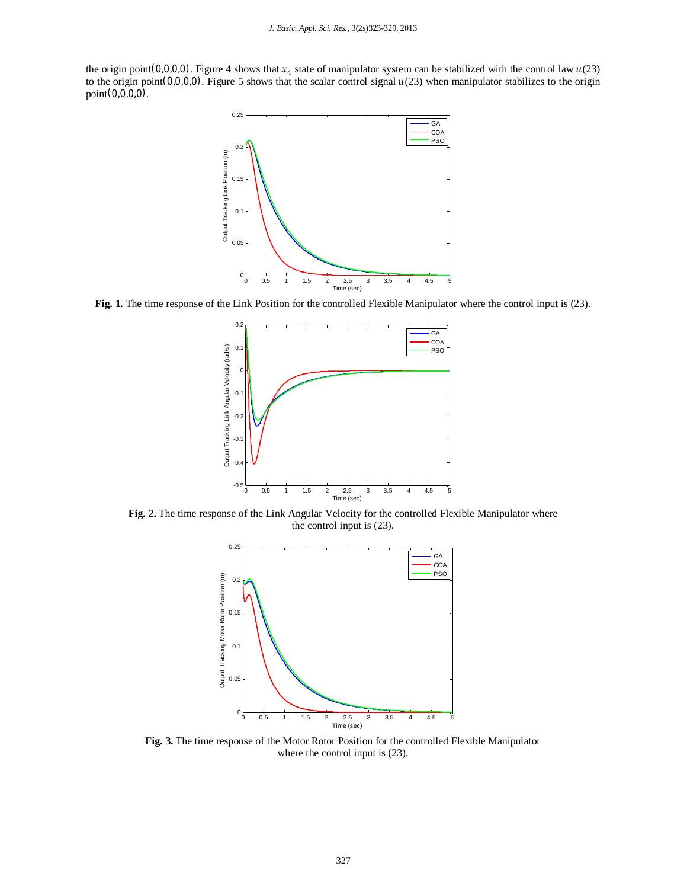the origin point  $(0,0,0,0)$ . Figure 4 shows that  $x_4$  state of manipulator system can be stabilized with the control law  $u(23)$ to the origin point(0,0,0,0). Figure 5 shows that the scalar control signal  $u(23)$  when manipulator stabilizes to the origin point(0,0,0,0).



**Fig. 1.** The time response of the Link Position for the controlled Flexible Manipulator where the control input is (23).



**Fig. 2.** The time response of the Link Angular Velocity for the controlled Flexible Manipulator where the control input is (23).



**Fig. 3.** The time response of the Motor Rotor Position for the controlled Flexible Manipulator where the control input is (23).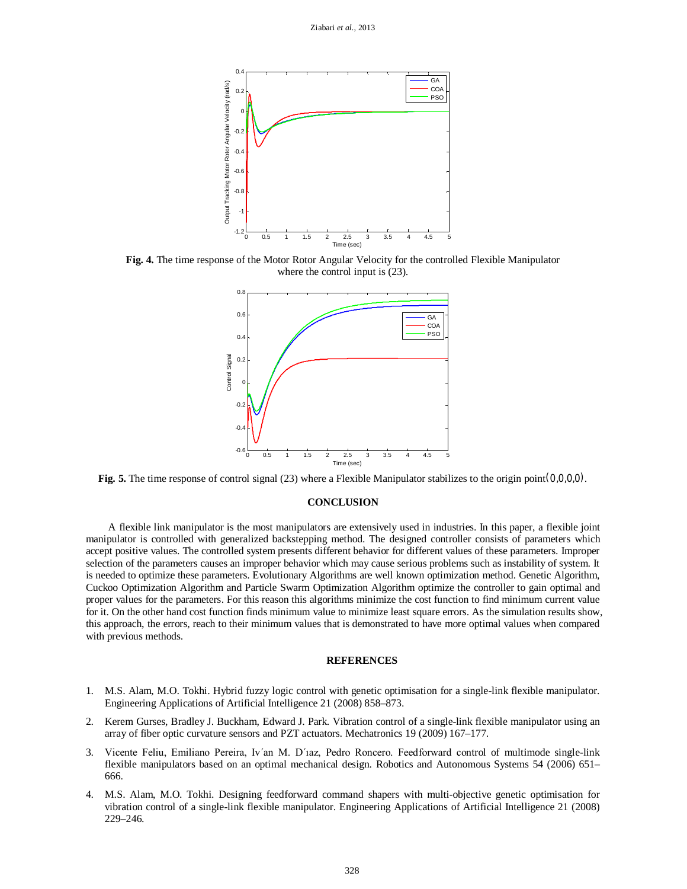

**Fig. 4.** The time response of the Motor Rotor Angular Velocity for the controlled Flexible Manipulator where the control input is (23).



**Fig. 5.** The time response of control signal (23) where a Flexible Manipulator stabilizes to the origin point(0,0,0,0).

# **CONCLUSION**

A flexible link manipulator is the most manipulators are extensively used in industries. In this paper, a flexible joint manipulator is controlled with generalized backstepping method. The designed controller consists of parameters which accept positive values. The controlled system presents different behavior for different values of these parameters. Improper selection of the parameters causes an improper behavior which may cause serious problems such as instability of system. It is needed to optimize these parameters. Evolutionary Algorithms are well known optimization method. Genetic Algorithm, Cuckoo Optimization Algorithm and Particle Swarm Optimization Algorithm optimize the controller to gain optimal and proper values for the parameters. For this reason this algorithms minimize the cost function to find minimum current value for it. On the other hand cost function finds minimum value to minimize least square errors. As the simulation results show, this approach, the errors, reach to their minimum values that is demonstrated to have more optimal values when compared with previous methods.

## **REFERENCES**

- 1. M.S. Alam, M.O. Tokhi. Hybrid fuzzy logic control with genetic optimisation for a single-link flexible manipulator. Engineering Applications of Artificial Intelligence 21 (2008) 858–873.
- 2. Kerem Gurses, Bradley J. Buckham, Edward J. Park. Vibration control of a single-link flexible manipulator using an array of fiber optic curvature sensors and PZT actuators. Mechatronics 19 (2009) 167–177.
- 3. Vicente Feliu, Emiliano Pereira, Iv´an M. D´ıaz, Pedro Roncero. Feedforward control of multimode single-link flexible manipulators based on an optimal mechanical design. Robotics and Autonomous Systems 54 (2006) 651– 666.
- 4. M.S. Alam, M.O. Tokhi. Designing feedforward command shapers with multi-objective genetic optimisation for vibration control of a single-link flexible manipulator. Engineering Applications of Artificial Intelligence 21 (2008) 229–246.